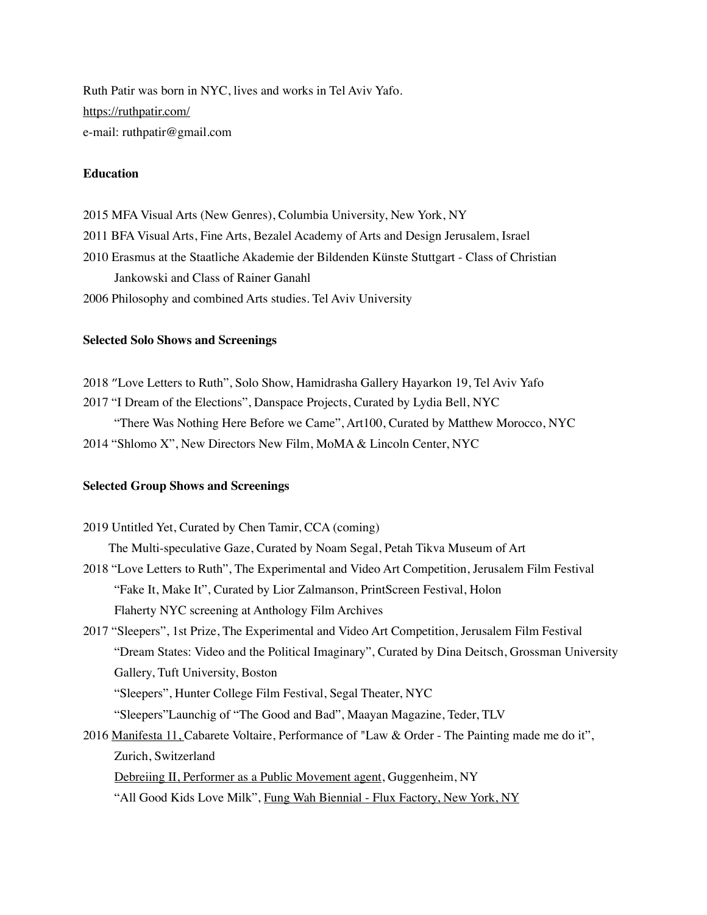Ruth Patir was born in NYC, lives and works in Tel Aviv Yafo. <https://ruthpatir.com/> e-mail: ruthpatir@gmail.com

# **Education**

2015 MFA Visual Arts (New Genres), Columbia University, New York, NY

2011 BFA Visual Arts, Fine Arts, Bezalel Academy of Arts and Design Jerusalem, Israel

2010 Erasmus at the Staatliche Akademie der Bildenden Künste Stuttgart - Class of Christian Jankowski and Class of Rainer Ganahl

2006 Philosophy and combined Arts studies. Tel Aviv University

# **Selected Solo Shows and Screenings**

2018 ״Love Letters to Ruth", Solo Show, Hamidrasha Gallery Hayarkon 19, Tel Aviv Yafo 2017 "I Dream of the Elections", Danspace Projects, Curated by Lydia Bell, NYC

"There Was Nothing Here Before we Came", Art100, Curated by Matthew Morocco, NYC 2014 "Shlomo X", New Directors New Film, MoMA & Lincoln Center, NYC

#### **Selected Group Shows and Screenings**

2019 Untitled Yet, Curated by Chen Tamir, CCA (coming) The Multi-speculative Gaze, Curated by Noam Segal, Petah Tikva Museum of Art 2018 "Love Letters to Ruth", The Experimental and Video Art Competition, Jerusalem Film Festival "Fake It, Make It", Curated by Lior Zalmanson, PrintScreen Festival, Holon Flaherty NYC screening at Anthology Film Archives 2017 "Sleepers", 1st Prize, The Experimental and Video Art Competition, Jerusalem Film Festival "Dream States: Video and the Political Imaginary", Curated by Dina Deitsch, Grossman University Gallery, Tuft University, Boston "Sleepers", Hunter College Film Festival, Segal Theater, NYC "Sleepers"Launchig of "The Good and Bad", Maayan Magazine, Teder, TLV 2016 Manifesta 11, Cabarete Voltaire, Performance of "Law & Order - The Painting made me do it", Zurich, Switzerland [Debreiing II, Performer as a Public Movement agent,](https://tickets.guggenheim.org/Info.aspx?EventID=23) Guggenheim, NY

"All Good Kids Love Milk", [Fung Wah Biennial](http://www.fungwahbiennial.com/) - Flux Factory, New York, NY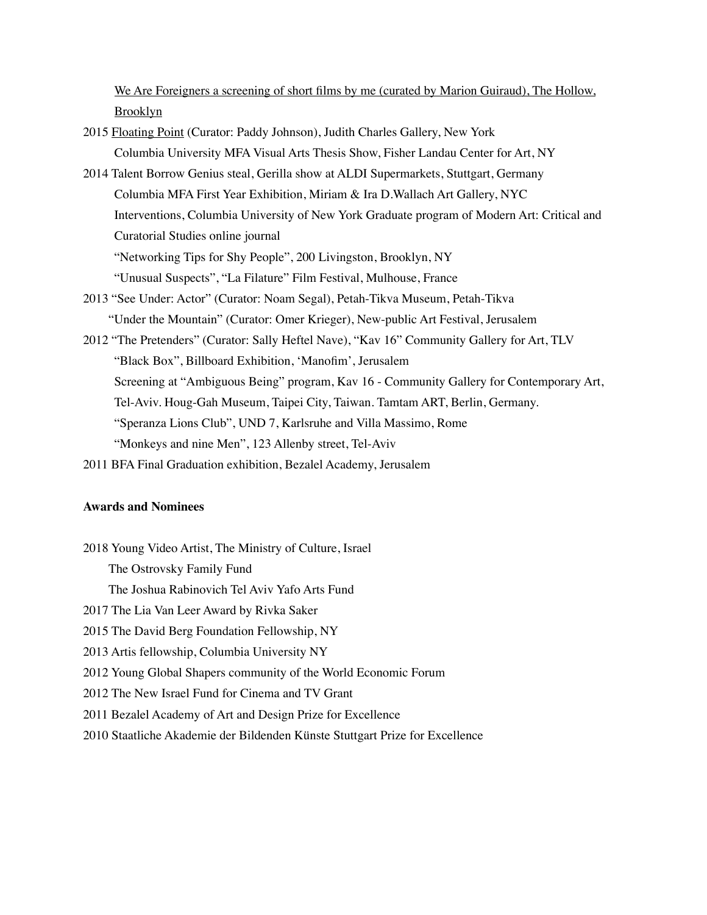[We Are Foreigners](http://www.hollows.info/past-screenings/) a screening of short films by me (curated by Marion Guiraud), The Hollow, Brooklyn

- 2015 [Floating Point](http://www.fl0atingp0int.com/) (Curator: Paddy Johnson), Judith Charles Gallery, New York Columbia University MFA Visual Arts Thesis Show, Fisher Landau Center for Art, NY
- 2014 Talent Borrow Genius steal, Gerilla show at ALDI Supermarkets, Stuttgart, Germany Columbia MFA First Year Exhibition, Miriam & Ira D.Wallach Art Gallery, NYC Interventions, Columbia University of New York Graduate program of Modern Art: Critical and Curatorial Studies online journal "Networking Tips for Shy People", 200 Livingston, Brooklyn, NY "Unusual Suspects", "La Filature" Film Festival, Mulhouse, France
- 2013 "See Under: Actor" (Curator: Noam Segal), Petah-Tikva Museum, Petah-Tikva "Under the Mountain" (Curator: Omer Krieger), New-public Art Festival, Jerusalem
- 2012 "The Pretenders" (Curator: Sally Heftel Nave), "Kav 16" Community Gallery for Art, TLV "Black Box", Billboard Exhibition, 'Manofim', Jerusalem Screening at "Ambiguous Being" program, Kav 16 - Community Gallery for Contemporary Art, Tel-Aviv. Houg-Gah Museum, Taipei City, Taiwan. Tamtam ART, Berlin, Germany. "Speranza Lions Club", UND 7, Karlsruhe and Villa Massimo, Rome "Monkeys and nine Men", 123 Allenby street, Tel-Aviv
- 2011 BFA Final Graduation exhibition, Bezalel Academy, Jerusalem

# **Awards and Nominees**

2018 Young Video Artist, The Ministry of Culture, Israel The Ostrovsky Family Fund The Joshua Rabinovich Tel Aviv Yafo Arts Fund 2017 The Lia Van Leer Award by Rivka Saker 2015 The David Berg Foundation Fellowship, NY 2013 Artis fellowship, Columbia University NY 2012 Young Global Shapers community of the World Economic Forum 2012 The New Israel Fund for Cinema and TV Grant 2011 Bezalel Academy of Art and Design Prize for Excellence 2010 Staatliche Akademie der Bildenden Künste Stuttgart Prize for Excellence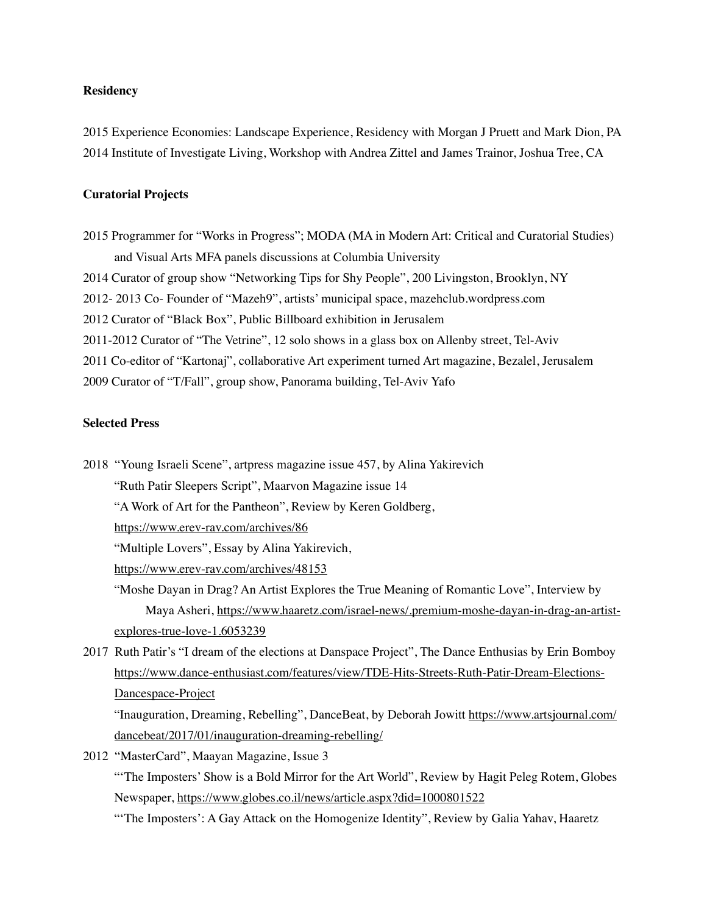#### **Residency**

2015 Experience Economies: Landscape Experience, Residency with Morgan J Pruett and Mark Dion, PA 2014 Institute of Investigate Living, Workshop with Andrea Zittel and James Trainor, Joshua Tree, CA

# **Curatorial Projects**

2015 Programmer for "Works in Progress"; MODA (MA in Modern Art: Critical and Curatorial Studies) and Visual Arts MFA panels discussions at Columbia University 2014 Curator of group show "Networking Tips for Shy People", 200 Livingston, Brooklyn, NY 2012- 2013 Co- Founder of "Mazeh9", artists' municipal space, mazehclub.wordpress.com 2012 Curator of "Black Box", Public Billboard exhibition in Jerusalem 2011-2012 Curator of "The Vetrine", 12 solo shows in a glass box on Allenby street, Tel-Aviv 2011 Co-editor of "Kartonaj", collaborative Art experiment turned Art magazine, Bezalel, Jerusalem 2009 Curator of "T/Fall", group show, Panorama building, Tel-Aviv Yafo

# **Selected Press**

- 2018 "Young Israeli Scene", artpress magazine issue 457, by Alina Yakirevich
	- "Ruth Patir Sleepers Script", Maarvon Magazine issue 14
	- "A Work of Art for the Pantheon", Review by Keren Goldberg,
	- <https://www.erev-rav.com/archives/86>
	- "Multiple Lovers", Essay by Alina Yakirevich,
	- <https://www.erev-rav.com/archives/48153>
	- "Moshe Dayan in Drag? An Artist Explores the True Meaning of Romantic Love", Interview by Maya Asheri, [https://www.haaretz.com/israel-news/.premium-moshe-dayan-in-drag-an-artist](https://www.haaretz.com/israel-news/.premium-moshe-dayan-in-drag-an-artist-explores-true-love-1.6053239)[explores-true-love-1.6053239](https://www.haaretz.com/israel-news/.premium-moshe-dayan-in-drag-an-artist-explores-true-love-1.6053239)
- 2017 Ruth Patir's "I dream of the elections at Danspace Project", The Dance Enthusias by Erin Bomboy [https://www.dance-enthusiast.com/features/view/TDE-Hits-Streets-Ruth-Patir-Dream-Elections-](https://www.dance-enthusiast.com/features/view/TDE-Hits-Streets-Ruth-Patir-Dream-Elections-Dancespace-Project)[Dancespace-Project](https://www.dance-enthusiast.com/features/view/TDE-Hits-Streets-Ruth-Patir-Dream-Elections-Dancespace-Project)

"Inauguration, Dreaming, Rebelling", DanceBeat, by Deborah Jowitt [https://www.artsjournal.com/](https://www.artsjournal.com/dancebeat/2017/01/inauguration-dreaming-rebelling/) [dancebeat/2017/01/inauguration-dreaming-rebelling/](https://www.artsjournal.com/dancebeat/2017/01/inauguration-dreaming-rebelling/)

2012 "MasterCard", Maayan Magazine, Issue 3 "'The Imposters' Show is a Bold Mirror for the Art World", Review by Hagit Peleg Rotem, Globes

Newspaper, <https://www.globes.co.il/news/article.aspx?did=1000801522>

"'The Imposters': A Gay Attack on the Homogenize Identity", Review by Galia Yahav, Haaretz